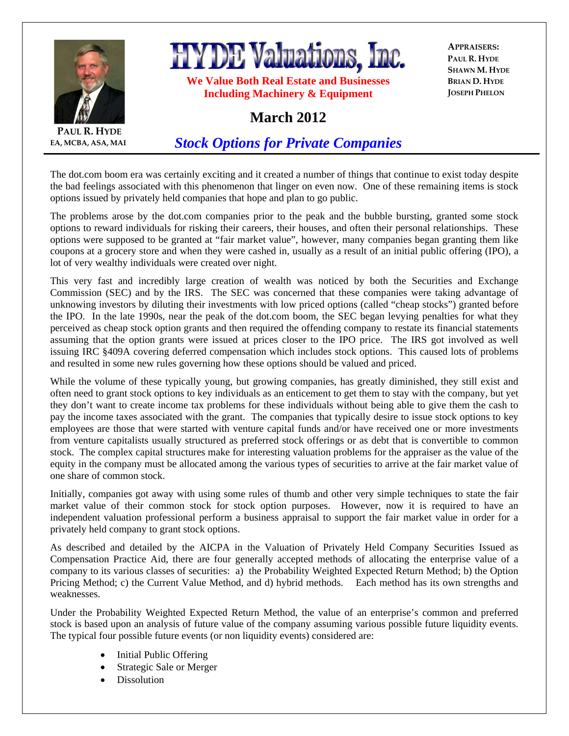

**EA, MCBA, ASA, MAI**



**We Value Both Real Estate and Businesses Including Machinery & Equipment** 

**APPRAISERS: PAUL R. HYDE SHAWN M. HYDE BRIAN D. HYDE JOSEPH PHELON**

## **March 2012**

*Stock Options for Private Companies*

The dot.com boom era was certainly exciting and it created a number of things that continue to exist today despite the bad feelings associated with this phenomenon that linger on even now. One of these remaining items is stock options issued by privately held companies that hope and plan to go public.

The problems arose by the dot.com companies prior to the peak and the bubble bursting, granted some stock options to reward individuals for risking their careers, their houses, and often their personal relationships. These options were supposed to be granted at "fair market value", however, many companies began granting them like coupons at a grocery store and when they were cashed in, usually as a result of an initial public offering (IPO), a lot of very wealthy individuals were created over night.

This very fast and incredibly large creation of wealth was noticed by both the Securities and Exchange Commission (SEC) and by the IRS. The SEC was concerned that these companies were taking advantage of unknowing investors by diluting their investments with low priced options (called "cheap stocks") granted before the IPO. In the late 1990s, near the peak of the dot.com boom, the SEC began levying penalties for what they perceived as cheap stock option grants and then required the offending company to restate its financial statements assuming that the option grants were issued at prices closer to the IPO price. The IRS got involved as well issuing IRC §409A covering deferred compensation which includes stock options. This caused lots of problems and resulted in some new rules governing how these options should be valued and priced.

While the volume of these typically young, but growing companies, has greatly diminished, they still exist and often need to grant stock options to key individuals as an enticement to get them to stay with the company, but yet they don't want to create income tax problems for these individuals without being able to give them the cash to pay the income taxes associated with the grant. The companies that typically desire to issue stock options to key employees are those that were started with venture capital funds and/or have received one or more investments from venture capitalists usually structured as preferred stock offerings or as debt that is convertible to common stock. The complex capital structures make for interesting valuation problems for the appraiser as the value of the equity in the company must be allocated among the various types of securities to arrive at the fair market value of one share of common stock.

Initially, companies got away with using some rules of thumb and other very simple techniques to state the fair market value of their common stock for stock option purposes. However, now it is required to have an independent valuation professional perform a business appraisal to support the fair market value in order for a privately held company to grant stock options.

As described and detailed by the AICPA in the Valuation of Privately Held Company Securities Issued as Compensation Practice Aid, there are four generally accepted methods of allocating the enterprise value of a company to its various classes of securities: a) the Probability Weighted Expected Return Method; b) the Option Pricing Method; c) the Current Value Method, and d) hybrid methods. Each method has its own strengths and weaknesses.

Under the Probability Weighted Expected Return Method, the value of an enterprise's common and preferred stock is based upon an analysis of future value of the company assuming various possible future liquidity events. The typical four possible future events (or non liquidity events) considered are:

- Initial Public Offering
- Strategic Sale or Merger
- Dissolution